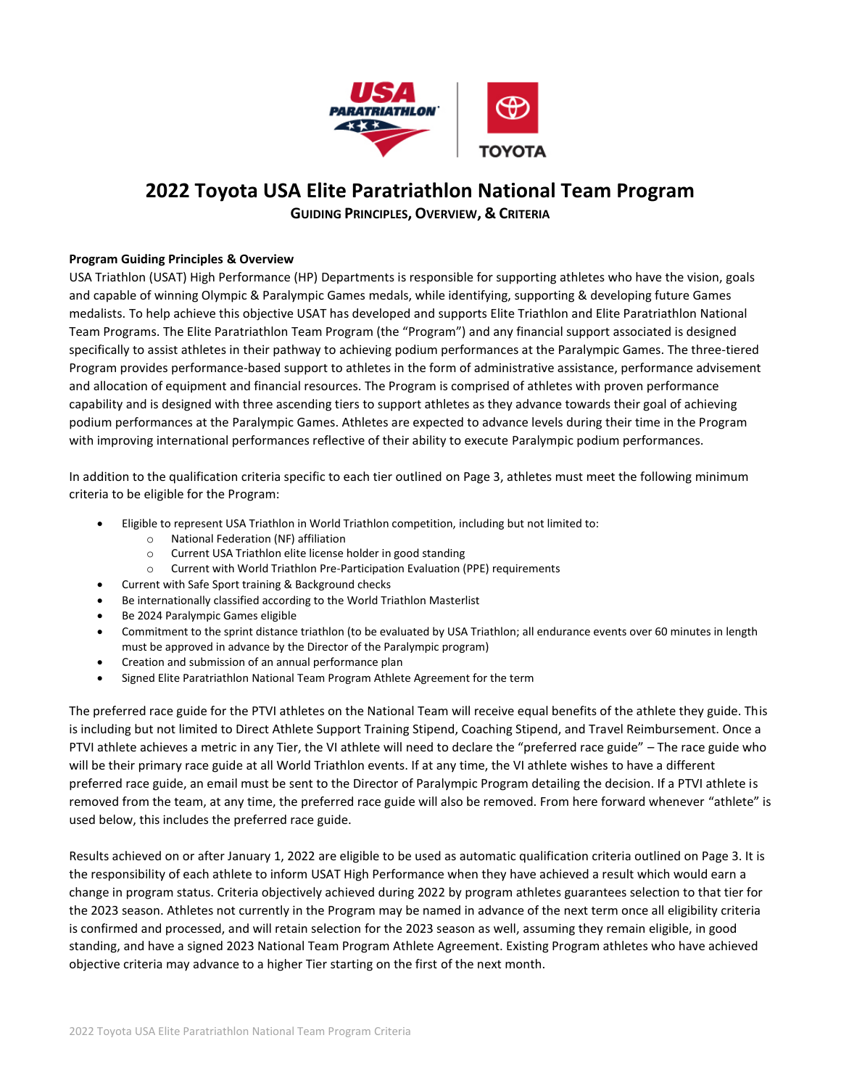

# **2022 Toyota USA Elite Paratriathlon National Team Program**

**GUIDING PRINCIPLES, OVERVIEW, & CRITERIA**

## **Program Guiding Principles & Overview**

USA Triathlon (USAT) High Performance (HP) Departments is responsible for supporting athletes who have the vision, goals and capable of winning Olympic & Paralympic Games medals, while identifying, supporting & developing future Games medalists. To help achieve this objective USAT has developed and supports Elite Triathlon and Elite Paratriathlon National Team Programs. The Elite Paratriathlon Team Program (the "Program") and any financial support associated is designed specifically to assist athletes in their pathway to achieving podium performances at the Paralympic Games. The three-tiered Program provides performance-based support to athletes in the form of administrative assistance, performance advisement and allocation of equipment and financial resources. The Program is comprised of athletes with proven performance capability and is designed with three ascending tiers to support athletes as they advance towards their goal of achieving podium performances at the Paralympic Games. Athletes are expected to advance levels during their time in the Program with improving international performances reflective of their ability to execute Paralympic podium performances.

In addition to the qualification criteria specific to each tier outlined on Page 3, athletes must meet the following minimum criteria to be eligible for the Program:

- Eligible to represent USA Triathlon in World Triathlon competition, including but not limited to:
	- o National Federation (NF) affiliation
		- o Current USA Triathlon elite license holder in good standing
		- o Current with World Triathlon Pre-Participation Evaluation (PPE) requirements
	- Current with Safe Sport training & Background checks
- Be internationally classified according to the World Triathlon Masterlist
- Be 2024 Paralympic Games eligible
- Commitment to the sprint distance triathlon (to be evaluated by USA Triathlon; all endurance events over 60 minutes in length must be approved in advance by the Director of the Paralympic program)
- Creation and submission of an annual performance plan
- Signed Elite Paratriathlon National Team Program Athlete Agreement for the term

The preferred race guide for the PTVI athletes on the National Team will receive equal benefits of the athlete they guide. This is including but not limited to Direct Athlete Support Training Stipend, Coaching Stipend, and Travel Reimbursement. Once a PTVI athlete achieves a metric in any Tier, the VI athlete will need to declare the "preferred race guide" – The race guide who will be their primary race guide at all World Triathlon events. If at any time, the VI athlete wishes to have a different preferred race guide, an email must be sent to the Director of Paralympic Program detailing the decision. If a PTVI athlete is removed from the team, at any time, the preferred race guide will also be removed. From here forward whenever "athlete" is used below, this includes the preferred race guide.

Results achieved on or after January 1, 2022 are eligible to be used as automatic qualification criteria outlined on Page 3. It is the responsibility of each athlete to inform USAT High Performance when they have achieved a result which would earn a change in program status. Criteria objectively achieved during 2022 by program athletes guarantees selection to that tier for the 2023 season. Athletes not currently in the Program may be named in advance of the next term once all eligibility criteria is confirmed and processed, and will retain selection for the 2023 season as well, assuming they remain eligible, in good standing, and have a signed 2023 National Team Program Athlete Agreement. Existing Program athletes who have achieved objective criteria may advance to a higher Tier starting on the first of the next month.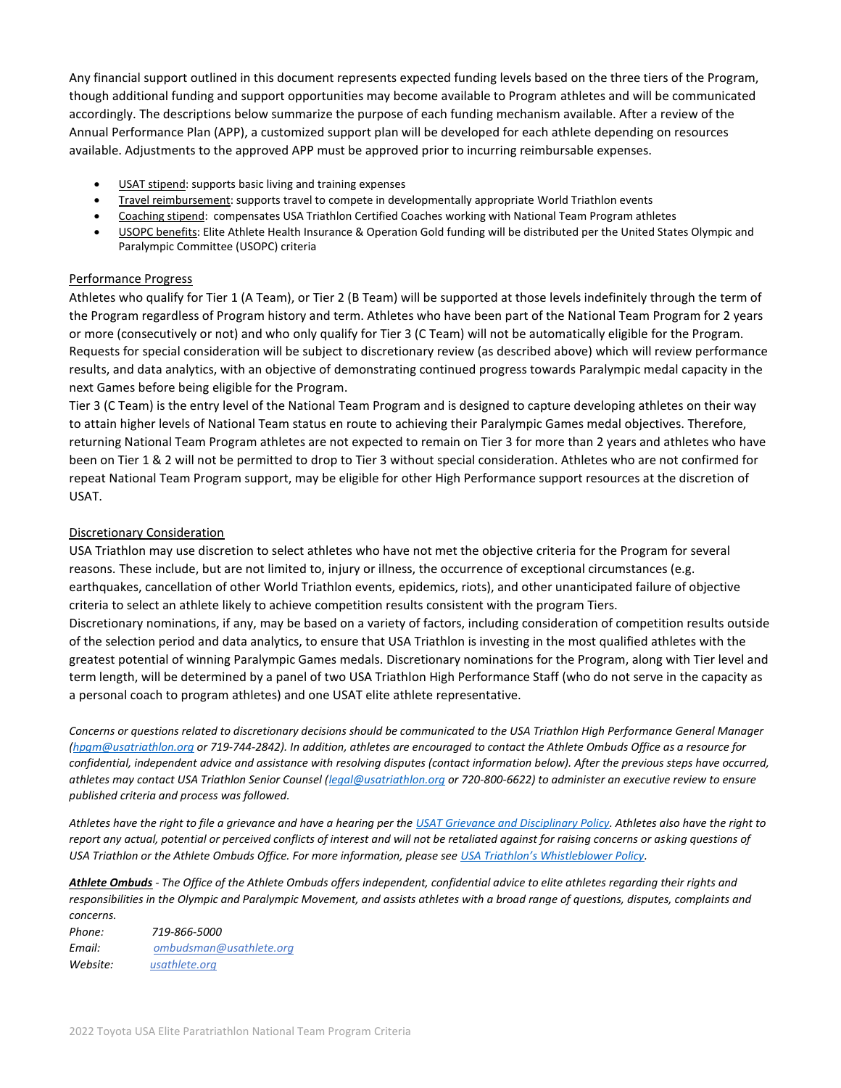Any financial support outlined in this document represents expected funding levels based on the three tiers of the Program, though additional funding and support opportunities may become available to Program athletes and will be communicated accordingly. The descriptions below summarize the purpose of each funding mechanism available. After a review of the Annual Performance Plan (APP), a customized support plan will be developed for each athlete depending on resources available. Adjustments to the approved APP must be approved prior to incurring reimbursable expenses.

- USAT stipend: supports basic living and training expenses
- Travel reimbursement: supports travel to compete in developmentally appropriate World Triathlon events
- Coaching stipend: compensates USA Triathlon Certified Coaches working with National Team Program athletes
- USOPC benefits: Elite Athlete Health Insurance & Operation Gold funding will be distributed per the United States Olympic and Paralympic Committee (USOPC) criteria

#### Performance Progress

Athletes who qualify for Tier 1 (A Team), or Tier 2 (B Team) will be supported at those levels indefinitely through the term of the Program regardless of Program history and term. Athletes who have been part of the National Team Program for 2 years or more (consecutively or not) and who only qualify for Tier 3 (C Team) will not be automatically eligible for the Program. Requests for special consideration will be subject to discretionary review (as described above) which will review performance results, and data analytics, with an objective of demonstrating continued progress towards Paralympic medal capacity in the next Games before being eligible for the Program.

Tier 3 (C Team) is the entry level of the National Team Program and is designed to capture developing athletes on their way to attain higher levels of National Team status en route to achieving their Paralympic Games medal objectives. Therefore, returning National Team Program athletes are not expected to remain on Tier 3 for more than 2 years and athletes who have been on Tier 1 & 2 will not be permitted to drop to Tier 3 without special consideration. Athletes who are not confirmed for repeat National Team Program support, may be eligible for other High Performance support resources at the discretion of USAT.

## Discretionary Consideration

USA Triathlon may use discretion to select athletes who have not met the objective criteria for the Program for several reasons. These include, but are not limited to, injury or illness, the occurrence of exceptional circumstances (e.g. earthquakes, cancellation of other World Triathlon events, epidemics, riots), and other unanticipated failure of objective criteria to select an athlete likely to achieve competition results consistent with the program Tiers.

Discretionary nominations, if any, may be based on a variety of factors, including consideration of competition results outside of the selection period and data analytics, to ensure that USA Triathlon is investing in the most qualified athletes with the greatest potential of winning Paralympic Games medals. Discretionary nominations for the Program, along with Tier level and term length, will be determined by a panel of two USA Triathlon High Performance Staff (who do not serve in the capacity as a personal coach to program athletes) and one USAT elite athlete representative.

*Concerns or questions related to discretionary decisions should be communicated to the USA Triathlon High Performance General Manager [\(hpgm@usatriathlon.org](mailto:hpgm@usatriathlon.org) or 719-744-2842). In addition, athletes are encouraged to contact the Athlete Ombuds Office as a resource for confidential, independent advice and assistance with resolving disputes (contact information below). After the previous steps have occurred, athletes may contact USA Triathlon Senior Counsel [\(legal@usatriathlon.org](mailto:legal@usatriathlon.org) or 720-800-6622) to administer an executive review to ensure published criteria and process was followed.*

*Athletes have the right to file a grievance and have a hearing per th[e USAT Grievance and Disciplinary Policy.](https://www.teamusa.org/USA-Triathlon/About/USAT/Governance) Athletes also have the right to report any actual, potential or perceived conflicts of interest and will not be retaliated against for raising concerns or asking questions of USA Triathlon or the Athlete Ombuds Office. For more information, please see [USA Triathlon's Whistleblower Policy](https://www.teamusa.org/USA-Triathlon/About/USAT/Governance).* 

*Athlete Ombuds - The Office of the Athlete Ombuds offers independent, confidential advice to elite athletes regarding their rights and responsibilities in the Olympic and Paralympic Movement, and assists athletes with a broad range of questions, disputes, complaints and concerns.*

*Phone: 719-866-5000 Email: [ombudsman@usathlete.org](mailto:ombudsman@usathlete.org) Website: [usathlete.org](http://link.teamusa.org/c/6/?T=NzkwMjk2MzY%3AMDItYjIxMTE4LTJmNzEwYWY4MGEwYjQxZWY4ZDViZDY3ZDc5MDk3ZmE5%3AZW1pbHlAdXNhdGhsZXRlLm9yZw%3AY29udGFjdC0yNjg4OWMxNDg4MDJlYjExOTBmZDAwNTA1NmI1YjFmYS0yODMzMmIxMDg5ZGQ0MmQ3OTdhYjMzMTU5YzcyNWVjZg%3AZmFsc2U%3AMjk%3A%3AaHR0cHM6Ly93d3cudGVhbXVzYS5vcmcvQXRobGV0ZS1PbWJ1ZHM_X2NsZGVlPVpXMXBiSGxBZFhOaGRHaHNaWFJsTG05eVp3JTNkJTNkJnJlY2lwaWVudGlkPWNvbnRhY3QtMjY4ODljMTQ4ODAyZWIxMTkwZmQwMDUwNTZiNWIxZmEtMjgzMzJiMTA4OWRkNDJkNzk3YWIzMzE1OWM3MjVlY2YmZXNpZD1iMjAwODg4NC00MmE4LWViMTEtOTExMi0wMDUwNTZiNWRmYmM&K=rajfJKUkrBKAxNayorOP8A)*